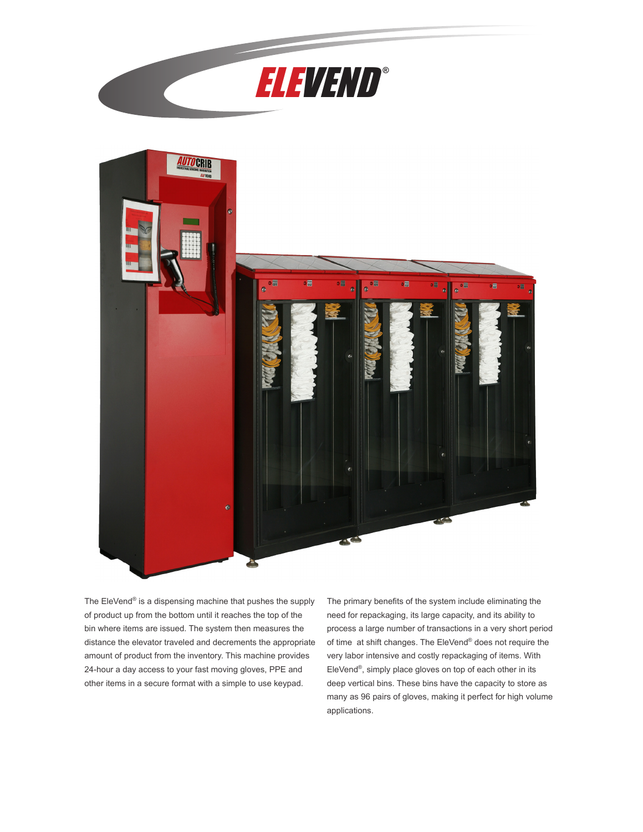



The EleVend® is a dispensing machine that pushes the supply of product up from the bottom until it reaches the top of the bin where items are issued. The system then measures the distance the elevator traveled and decrements the appropriate amount of product from the inventory. This machine provides 24-hour a day access to your fast moving gloves, PPE and other items in a secure format with a simple to use keypad.

The primary benefits of the system include eliminating the need for repackaging, its large capacity, and its ability to process a large number of transactions in a very short period of time at shift changes. The EleVend® does not require the very labor intensive and costly repackaging of items. With EleVend®, simply place gloves on top of each other in its deep vertical bins. These bins have the capacity to store as many as 96 pairs of gloves, making it perfect for high volume applications.